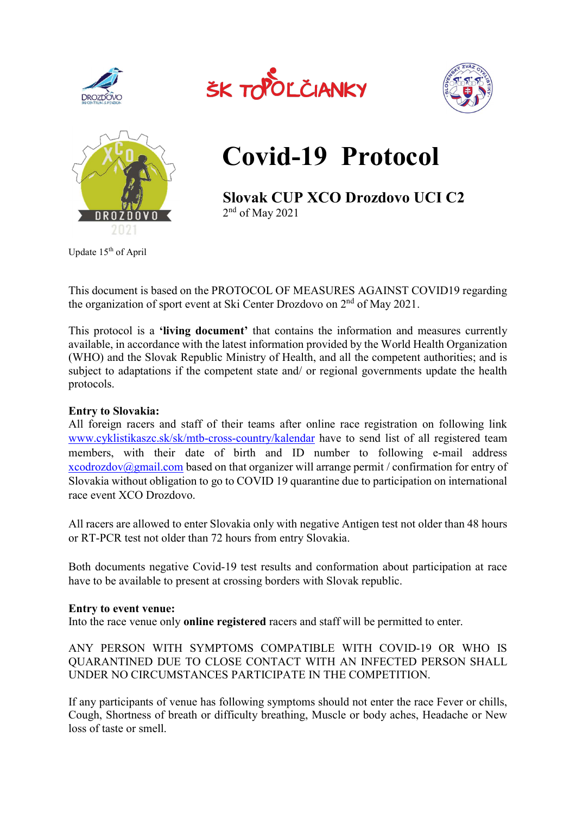







# Covid-19 Protocol

Slovak CUP XCO Drozdovo UCI C2 2 nd of May 2021

Update 15th of April

This document is based on the PROTOCOL OF MEASURES AGAINST COVID19 regarding the organization of sport event at Ski Center Drozdovo on  $2<sup>nd</sup>$  of May 2021.

This protocol is a 'living document' that contains the information and measures currently available, in accordance with the latest information provided by the World Health Organization (WHO) and the Slovak Republic Ministry of Health, and all the competent authorities; and is subject to adaptations if the competent state and/ or regional governments update the health protocols.

# Entry to Slovakia:

All foreign racers and staff of their teams after online race registration on following link www.cyklistikaszc.sk/sk/mtb-cross-country/kalendar have to send list of all registered team members, with their date of birth and ID number to following e-mail address xcodrozdov@gmail.com based on that organizer will arrange permit / confirmation for entry of Slovakia without obligation to go to COVID 19 quarantine due to participation on international race event XCO Drozdovo.

All racers are allowed to enter Slovakia only with negative Antigen test not older than 48 hours or RT-PCR test not older than 72 hours from entry Slovakia.

Both documents negative Covid-19 test results and conformation about participation at race have to be available to present at crossing borders with Slovak republic.

# Entry to event venue:

Into the race venue only online registered racers and staff will be permitted to enter.

ANY PERSON WITH SYMPTOMS COMPATIBLE WITH COVID-19 OR WHO IS QUARANTINED DUE TO CLOSE CONTACT WITH AN INFECTED PERSON SHALL UNDER NO CIRCUMSTANCES PARTICIPATE IN THE COMPETITION.

If any participants of venue has following symptoms should not enter the race Fever or chills, Cough, Shortness of breath or difficulty breathing, Muscle or body aches, Headache or New loss of taste or smell.